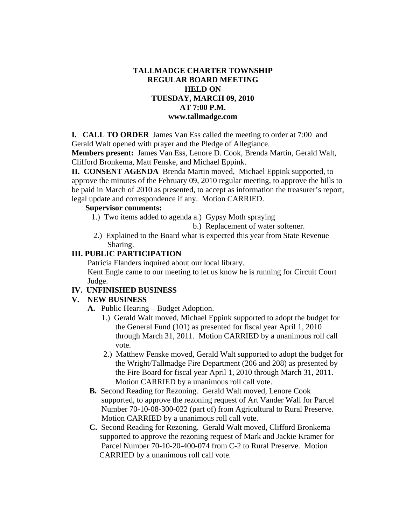## **TALLMADGE CHARTER TOWNSHIP REGULAR BOARD MEETING HELD ON TUESDAY, MARCH 09, 2010 AT 7:00 P.M. www.tallmadge.com**

**I. CALL TO ORDER** James Van Ess called the meeting to order at 7:00 and Gerald Walt opened with prayer and the Pledge of Allegiance.

**Members present:** James Van Ess, Lenore D. Cook, Brenda Martin, Gerald Walt, Clifford Bronkema, Matt Fenske, and Michael Eppink.

**II. CONSENT AGENDA** Brenda Martin moved, Michael Eppink supported, to approve the minutes of the February 09, 2010 regular meeting, to approve the bills to be paid in March of 2010 as presented, to accept as information the treasurer's report, legal update and correspondence if any. Motion CARRIED.

## **Supervisor comments:**

1.) Two items added to agenda a.) Gypsy Moth spraying

b.) Replacement of water softener.

 2.) Explained to the Board what is expected this year from State Revenue Sharing.

#### **III. PUBLIC PARTICIPATION**

 Patricia Flanders inquired about our local library. Kent Engle came to our meeting to let us know he is running for Circuit Court Judge.

#### **IV. UNFINISHED BUSINESS**

#### **V. NEW BUSINESS**

- **A.** Public Hearing Budget Adoption.
	- 1.) Gerald Walt moved, Michael Eppink supported to adopt the budget for the General Fund (101) as presented for fiscal year April 1, 2010 through March 31, 2011. Motion CARRIED by a unanimous roll call vote.
	- 2.) Matthew Fenske moved, Gerald Walt supported to adopt the budget for the Wright/Tallmadge Fire Department (206 and 208) as presented by the Fire Board for fiscal year April 1, 2010 through March 31, 2011. Motion CARRIED by a unanimous roll call vote.
- **B.** Second Reading for Rezoning. Gerald Walt moved, Lenore Cook supported, to approve the rezoning request of Art Vander Wall for Parcel Number 70-10-08-300-022 (part of) from Agricultural to Rural Preserve. Motion CARRIED by a unanimous roll call vote.
- **C.** Second Reading for Rezoning. Gerald Walt moved, Clifford Bronkema supported to approve the rezoning request of Mark and Jackie Kramer for Parcel Number 70-10-20-400-074 from C-2 to Rural Preserve. Motion CARRIED by a unanimous roll call vote.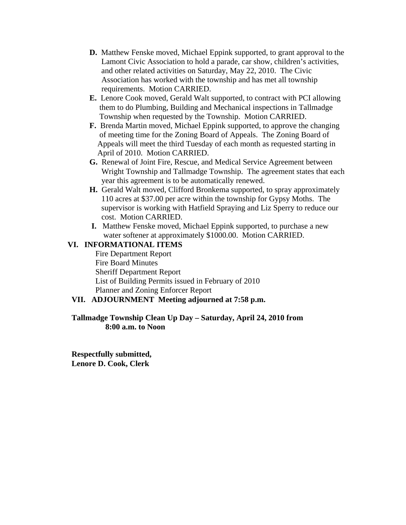- **D.** Matthew Fenske moved, Michael Eppink supported, to grant approval to the Lamont Civic Association to hold a parade, car show, children's activities, and other related activities on Saturday, May 22, 2010. The Civic Association has worked with the township and has met all township requirements. Motion CARRIED.
- **E.** Lenore Cook moved, Gerald Walt supported, to contract with PCI allowing them to do Plumbing, Building and Mechanical inspections in Tallmadge Township when requested by the Township. Motion CARRIED.
- **F.** Brenda Martin moved, Michael Eppink supported, to approve the changing of meeting time for the Zoning Board of Appeals. The Zoning Board of Appeals will meet the third Tuesday of each month as requested starting in April of 2010. Motion CARRIED.
- **G.** Renewal of Joint Fire, Rescue, and Medical Service Agreement between Wright Township and Tallmadge Township. The agreement states that each year this agreement is to be automatically renewed.
- **H.** Gerald Walt moved, Clifford Bronkema supported, to spray approximately 110 acres at \$37.00 per acre within the township for Gypsy Moths. The supervisor is working with Hatfield Spraying and Liz Sperry to reduce our cost. Motion CARRIED.
- **I.** Matthew Fenske moved, Michael Eppink supported, to purchase a new water softener at approximately \$1000.00. Motion CARRIED.

## **VI. INFORMATIONAL ITEMS**

Fire Department Report Fire Board Minutes Sheriff Department Report List of Building Permits issued in February of 2010 Planner and Zoning Enforcer Report

# **VII. ADJOURNMENT Meeting adjourned at 7:58 p.m.**

## **Tallmadge Township Clean Up Day – Saturday, April 24, 2010 from 8:00 a.m. to Noon**

**Respectfully submitted, Lenore D. Cook, Clerk**